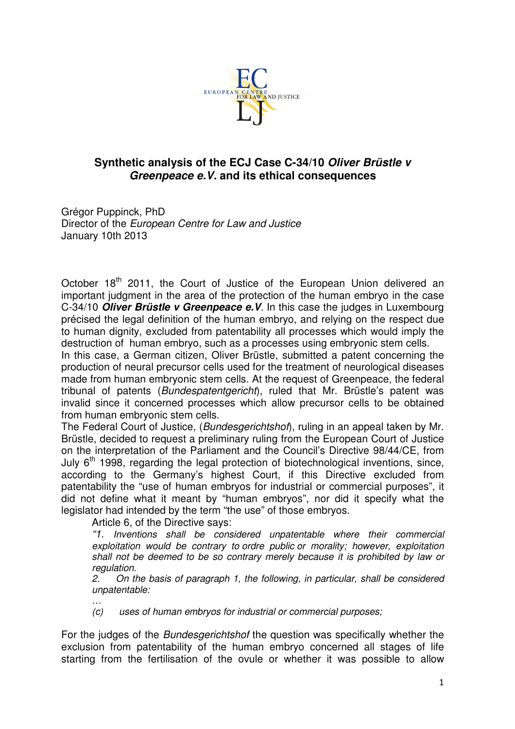

## **Synthetic analysis of the ECJ Case C-34/10 Oliver Brüstle v Greenpeace e.V. and its ethical consequences**

Grégor Puppinck, PhD Director of the European Centre for Law and Justice January 10th 2013

October 18<sup>th</sup> 2011, the Court of Justice of the European Union delivered an important judgment in the area of the protection of the human embryo in the case C-34/10 **Oliver Brüstle v Greenpeace e.V**. In this case the judges in Luxembourg précised the legal definition of the human embryo, and relying on the respect due to human dignity, excluded from patentability all processes which would imply the destruction of human embryo, such as a processes using embryonic stem cells.

In this case, a German citizen, Oliver Brüstle, submitted a patent concerning the production of neural precursor cells used for the treatment of neurological diseases made from human embryonic stem cells. At the request of Greenpeace, the federal tribunal of patents (Bundespatentgericht), ruled that Mr. Brüstle's patent was invalid since it concerned processes which allow precursor cells to be obtained from human embryonic stem cells.

The Federal Court of Justice, (Bundesgerichtshof), ruling in an appeal taken by Mr. Brüstle, decided to request a preliminary ruling from the European Court of Justice on the interpretation of the Parliament and the Council's Directive 98/44/CE, from July  $6<sup>th</sup>$  1998, regarding the legal protection of biotechnological inventions, since, according to the Germany's highest Court, if this Directive excluded from patentability the "use of human embryos for industrial or commercial purposes", it did not define what it meant by "human embryos", nor did it specify what the leaislator had intended by the term "the use" of those embryos.

Article 6, of the Directive says:

…

"1. Inventions shall be considered unpatentable where their commercial exploitation would be contrary to ordre public or morality; however, exploitation shall not be deemed to be so contrary merely because it is prohibited by law or regulation.

2. On the basis of paragraph 1, the following, in particular, shall be considered unpatentable:

(c) uses of human embryos for industrial or commercial purposes;

For the judges of the Bundesgerichtshof the question was specifically whether the exclusion from patentability of the human embryo concerned all stages of life starting from the fertilisation of the ovule or whether it was possible to allow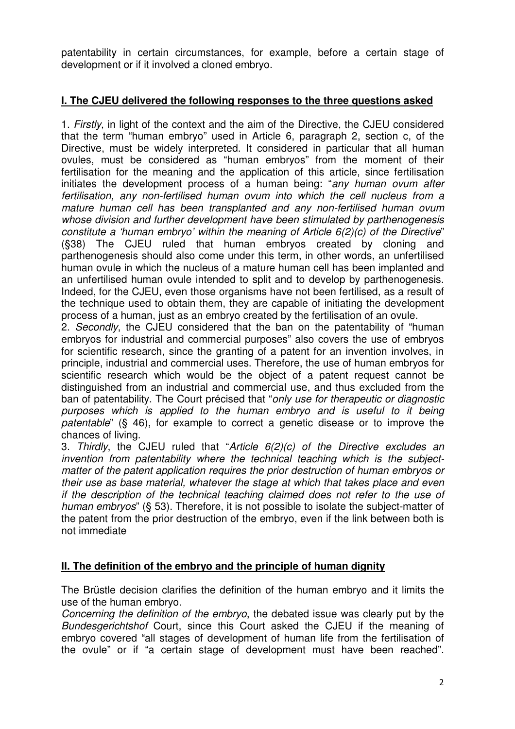patentability in certain circumstances, for example, before a certain stage of development or if it involved a cloned embryo.

## **I. The CJEU delivered the following responses to the three questions asked**

1. Firstly, in light of the context and the aim of the Directive, the CJEU considered that the term "human embryo" used in Article 6, paragraph 2, section c, of the Directive, must be widely interpreted. It considered in particular that all human ovules, must be considered as "human embryos" from the moment of their fertilisation for the meaning and the application of this article, since fertilisation initiates the development process of a human being: "any human ovum after fertilisation, any non-fertilised human ovum into which the cell nucleus from a mature human cell has been transplanted and any non-fertilised human ovum whose division and further development have been stimulated by parthenogenesis constitute a 'human embryo' within the meaning of Article  $6(2)(c)$  of the Directive" (§38) The CJEU ruled that human embryos created by cloning and parthenogenesis should also come under this term, in other words, an unfertilised human ovule in which the nucleus of a mature human cell has been implanted and an unfertilised human ovule intended to split and to develop by parthenogenesis. Indeed, for the CJEU, even those organisms have not been fertilised, as a result of the technique used to obtain them, they are capable of initiating the development process of a human, just as an embryo created by the fertilisation of an ovule.

2. Secondly, the CJEU considered that the ban on the patentability of "human embryos for industrial and commercial purposes" also covers the use of embryos for scientific research, since the granting of a patent for an invention involves, in principle, industrial and commercial uses. Therefore, the use of human embryos for scientific research which would be the object of a patent request cannot be distinguished from an industrial and commercial use, and thus excluded from the ban of patentability. The Court précised that "only use for therapeutic or diagnostic purposes which is applied to the human embryo and is useful to it being patentable" (§ 46), for example to correct a genetic disease or to improve the chances of living.

3. Thirdly, the CJEU ruled that "Article  $6(2)(c)$  of the Directive excludes an invention from patentability where the technical teaching which is the subjectmatter of the patent application requires the prior destruction of human embryos or their use as base material, whatever the stage at which that takes place and even if the description of the technical teaching claimed does not refer to the use of human embryos" (§ 53). Therefore, it is not possible to isolate the subject-matter of the patent from the prior destruction of the embryo, even if the link between both is not immediate

## **II. The definition of the embryo and the principle of human dignity**

The Brüstle decision clarifies the definition of the human embryo and it limits the use of the human embryo.

Concerning the definition of the embryo, the debated issue was clearly put by the Bundesgerichtshof Court, since this Court asked the CJEU if the meaning of embryo covered "all stages of development of human life from the fertilisation of the ovule" or if "a certain stage of development must have been reached".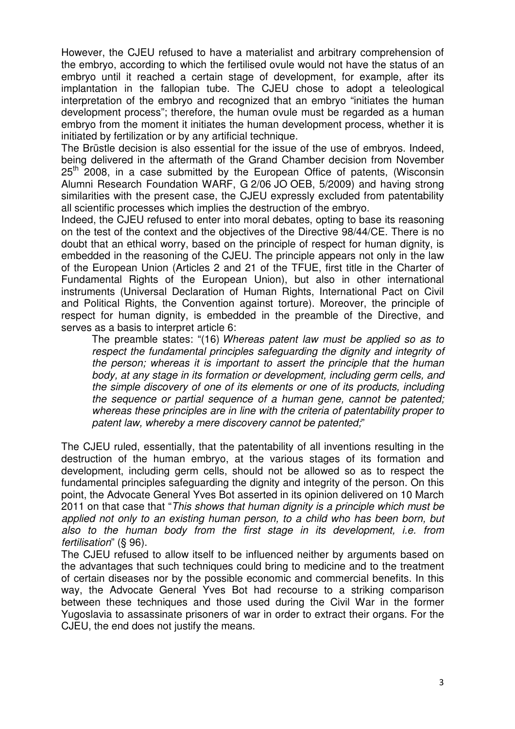However, the CJEU refused to have a materialist and arbitrary comprehension of the embryo, according to which the fertilised ovule would not have the status of an embryo until it reached a certain stage of development, for example, after its implantation in the fallopian tube. The CJEU chose to adopt a teleological interpretation of the embryo and recognized that an embryo "initiates the human development process"; therefore, the human ovule must be regarded as a human embryo from the moment it initiates the human development process, whether it is initiated by fertilization or by any artificial technique.

The Brüstle decision is also essential for the issue of the use of embryos. Indeed, being delivered in the aftermath of the Grand Chamber decision from November  $25<sup>th</sup>$  2008, in a case submitted by the European Office of patents, (Wisconsin Alumni Research Foundation WARF, G 2/06 JO OEB, 5/2009) and having strong similarities with the present case, the CJEU expressly excluded from patentability all scientific processes which implies the destruction of the embryo.

Indeed, the CJEU refused to enter into moral debates, opting to base its reasoning on the test of the context and the objectives of the Directive 98/44/CE. There is no doubt that an ethical worry, based on the principle of respect for human dignity, is embedded in the reasoning of the CJEU. The principle appears not only in the law of the European Union (Articles 2 and 21 of the TFUE, first title in the Charter of Fundamental Rights of the European Union), but also in other international instruments (Universal Declaration of Human Rights, International Pact on Civil and Political Rights, the Convention against torture). Moreover, the principle of respect for human dignity, is embedded in the preamble of the Directive, and serves as a basis to interpret article 6:

The preamble states: "(16) Whereas patent law must be applied so as to respect the fundamental principles safeguarding the dignity and integrity of the person; whereas it is important to assert the principle that the human body, at any stage in its formation or development, including germ cells, and the simple discovery of one of its elements or one of its products, including the sequence or partial sequence of a human gene, cannot be patented; whereas these principles are in line with the criteria of patentability proper to patent law, whereby a mere discovery cannot be patented;"

The CJEU ruled, essentially, that the patentability of all inventions resulting in the destruction of the human embryo, at the various stages of its formation and development, including germ cells, should not be allowed so as to respect the fundamental principles safeguarding the dignity and integrity of the person. On this point, the Advocate General Yves Bot asserted in its opinion delivered on 10 March 2011 on that case that "This shows that human dignity is a principle which must be applied not only to an existing human person, to a child who has been born, but also to the human body from the first stage in its development, i.e. from fertilisation" (§ 96).

The CJEU refused to allow itself to be influenced neither by arguments based on the advantages that such techniques could bring to medicine and to the treatment of certain diseases nor by the possible economic and commercial benefits. In this way, the Advocate General Yves Bot had recourse to a striking comparison between these techniques and those used during the Civil War in the former Yugoslavia to assassinate prisoners of war in order to extract their organs. For the CJEU, the end does not justify the means.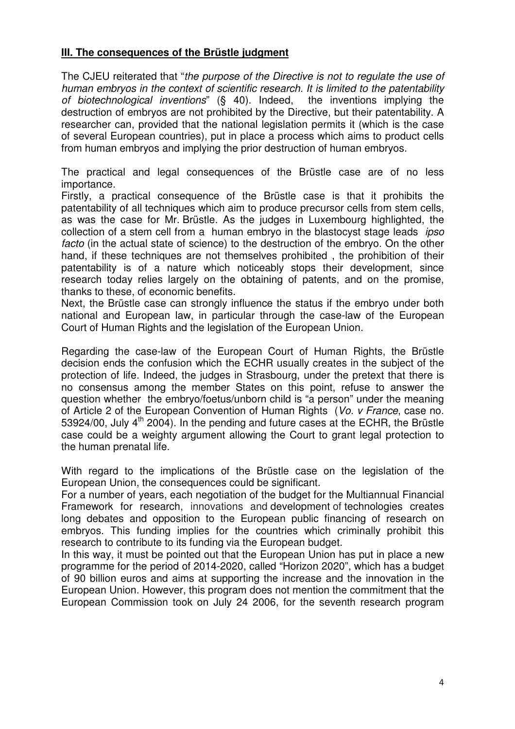## **III. The consequences of the Brüstle judgment**

The CJEU reiterated that "the purpose of the Directive is not to regulate the use of human embryos in the context of scientific research. It is limited to the patentability of biotechnological inventions" (§ 40). Indeed, the inventions implying the destruction of embryos are not prohibited by the Directive, but their patentability. A researcher can, provided that the national legislation permits it (which is the case of several European countries), put in place a process which aims to product cells from human embryos and implying the prior destruction of human embryos.

The practical and legal consequences of the Brüstle case are of no less importance.

Firstly, a practical consequence of the Brüstle case is that it prohibits the patentability of all techniques which aim to produce precursor cells from stem cells, as was the case for Mr. Brüstle. As the judges in Luxembourg highlighted, the collection of a stem cell from a human embryo in the blastocyst stage leads *ipso* facto (in the actual state of science) to the destruction of the embryo. On the other hand, if these techniques are not themselves prohibited , the prohibition of their patentability is of a nature which noticeably stops their development, since research today relies largely on the obtaining of patents, and on the promise, thanks to these, of economic benefits.

Next, the Brüstle case can strongly influence the status if the embryo under both national and European law, in particular through the case-law of the European Court of Human Rights and the legislation of the European Union.

Regarding the case-law of the European Court of Human Rights, the Brüstle decision ends the confusion which the ECHR usually creates in the subject of the protection of life. Indeed, the judges in Strasbourg, under the pretext that there is no consensus among the member States on this point, refuse to answer the question whether the embryo/foetus/unborn child is "a person" under the meaning of Article 2 of the European Convention of Human Rights (Vo. v France, case no. 53924/00, July  $4<sup>th</sup>$  2004). In the pending and future cases at the ECHR, the Brüstle case could be a weighty argument allowing the Court to grant legal protection to the human prenatal life.

With regard to the implications of the Brüstle case on the legislation of the European Union, the consequences could be significant.

For a number of years, each negotiation of the budget for the Multiannual Financial Framework for research, innovations and development of technologies creates long debates and opposition to the European public financing of research on embryos. This funding implies for the countries which criminally prohibit this research to contribute to its funding via the European budget.

In this way, it must be pointed out that the European Union has put in place a new programme for the period of 2014-2020, called "Horizon 2020", which has a budget of 90 billion euros and aims at supporting the increase and the innovation in the European Union. However, this program does not mention the commitment that the European Commission took on July 24 2006, for the seventh research program